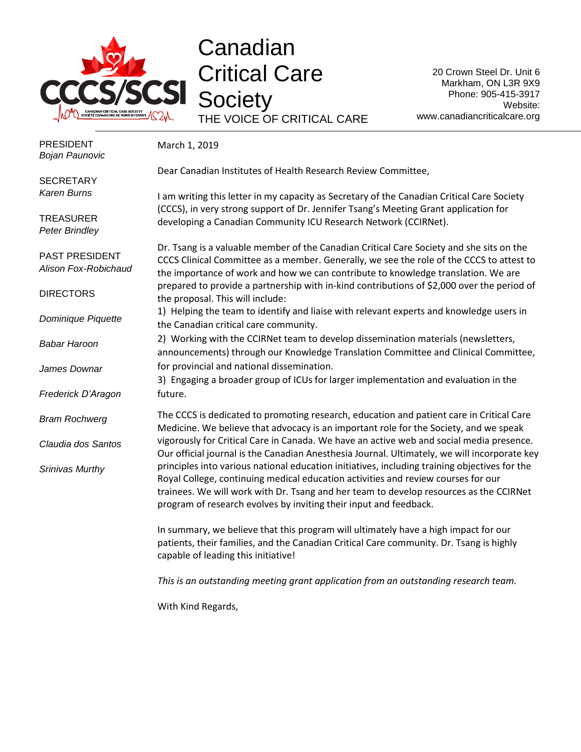

## **Canadian** Critical Care **Society** THE VOICE OF CRITICAL CARE

20 Crown Steel Dr. Unit 6 Markham, ON L3R 9X9 Phone: 905-415-3917 Website: www.canadiancriticalcare.org

| <b>PRESIDENT</b><br><b>Bojan Paunovic</b> | March 1, 2019                                                                                                                                                                                                                                                                                                                                     |
|-------------------------------------------|---------------------------------------------------------------------------------------------------------------------------------------------------------------------------------------------------------------------------------------------------------------------------------------------------------------------------------------------------|
| <b>SECRETARY</b>                          | Dear Canadian Institutes of Health Research Review Committee,                                                                                                                                                                                                                                                                                     |
| Karen Burns                               | I am writing this letter in my capacity as Secretary of the Canadian Critical Care Society                                                                                                                                                                                                                                                        |
| <b>TREASURER</b><br><b>Peter Brindley</b> | (CCCS), in very strong support of Dr. Jennifer Tsang's Meeting Grant application for<br>developing a Canadian Community ICU Research Network (CCIRNet).                                                                                                                                                                                           |
| PAST PRESIDENT<br>Alison Fox-Robichaud    | Dr. Tsang is a valuable member of the Canadian Critical Care Society and she sits on the<br>CCCS Clinical Committee as a member. Generally, we see the role of the CCCS to attest to<br>the importance of work and how we can contribute to knowledge translation. We are                                                                         |
| <b>DIRECTORS</b>                          | prepared to provide a partnership with in-kind contributions of \$2,000 over the period of<br>the proposal. This will include:                                                                                                                                                                                                                    |
| Dominique Piquette                        | 1) Helping the team to identify and liaise with relevant experts and knowledge users in<br>the Canadian critical care community.                                                                                                                                                                                                                  |
| <b>Babar Haroon</b>                       | 2) Working with the CCIRNet team to develop dissemination materials (newsletters,<br>announcements) through our Knowledge Translation Committee and Clinical Committee,                                                                                                                                                                           |
| James Downar                              | for provincial and national dissemination.<br>3) Engaging a broader group of ICUs for larger implementation and evaluation in the                                                                                                                                                                                                                 |
| Frederick D'Aragon                        | future.                                                                                                                                                                                                                                                                                                                                           |
| <b>Bram Rochwerg</b>                      | The CCCS is dedicated to promoting research, education and patient care in Critical Care<br>Medicine. We believe that advocacy is an important role for the Society, and we speak                                                                                                                                                                 |
| Claudia dos Santos                        | vigorously for Critical Care in Canada. We have an active web and social media presence.<br>Our official journal is the Canadian Anesthesia Journal. Ultimately, we will incorporate key                                                                                                                                                          |
| Srinivas Murthy                           | principles into various national education initiatives, including training objectives for the<br>Royal College, continuing medical education activities and review courses for our<br>trainees. We will work with Dr. Tsang and her team to develop resources as the CCIRNet<br>program of research evolves by inviting their input and feedback. |
|                                           | In summary, we believe that this program will ultimately have a high impact for our<br>patients, their families, and the Canadian Critical Care community. Dr. Tsang is highly<br>capable of leading this initiative!                                                                                                                             |
|                                           | This is an outstanding meeting grant application from an outstanding research team.                                                                                                                                                                                                                                                               |
|                                           | With Kind Regards,                                                                                                                                                                                                                                                                                                                                |